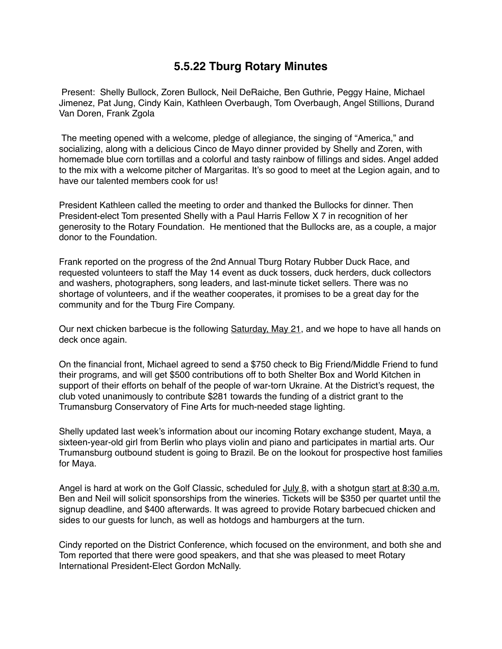## **5.5.22 Tburg Rotary Minutes**

 Present: Shelly Bullock, Zoren Bullock, Neil DeRaiche, Ben Guthrie, Peggy Haine, Michael Jimenez, Pat Jung, Cindy Kain, Kathleen Overbaugh, Tom Overbaugh, Angel Stillions, Durand Van Doren, Frank Zgola

 The meeting opened with a welcome, pledge of allegiance, the singing of "America," and socializing, along with a delicious Cinco de Mayo dinner provided by Shelly and Zoren, with homemade blue corn tortillas and a colorful and tasty rainbow of fillings and sides. Angel added to the mix with a welcome pitcher of Margaritas. It's so good to meet at the Legion again, and to have our talented members cook for us!

President Kathleen called the meeting to order and thanked the Bullocks for dinner. Then President-elect Tom presented Shelly with a Paul Harris Fellow X 7 in recognition of her generosity to the Rotary Foundation. He mentioned that the Bullocks are, as a couple, a major donor to the Foundation.

Frank reported on the progress of the 2nd Annual Tburg Rotary Rubber Duck Race, and requested volunteers to staff the May 14 event as duck tossers, duck herders, duck collectors and washers, photographers, song leaders, and last-minute ticket sellers. There was no shortage of volunteers, and if the weather cooperates, it promises to be a great day for the community and for the Tburg Fire Company.

Our next chicken barbecue is the following Saturday, May 21, and we hope to have all hands on deck once again.

On the financial front, Michael agreed to send a \$750 check to Big Friend/Middle Friend to fund their programs, and will get \$500 contributions off to both Shelter Box and World Kitchen in support of their efforts on behalf of the people of war-torn Ukraine. At the District's request, the club voted unanimously to contribute \$281 towards the funding of a district grant to the Trumansburg Conservatory of Fine Arts for much-needed stage lighting.

Shelly updated last week's information about our incoming Rotary exchange student, Maya, a sixteen-year-old girl from Berlin who plays violin and piano and participates in martial arts. Our Trumansburg outbound student is going to Brazil. Be on the lookout for prospective host families for Maya.

Angel is hard at work on the Golf Classic, scheduled for July 8, with a shotgun start at 8:30 a.m. Ben and Neil will solicit sponsorships from the wineries. Tickets will be \$350 per quartet until the signup deadline, and \$400 afterwards. It was agreed to provide Rotary barbecued chicken and sides to our guests for lunch, as well as hotdogs and hamburgers at the turn.

Cindy reported on the District Conference, which focused on the environment, and both she and Tom reported that there were good speakers, and that she was pleased to meet Rotary International President-Elect Gordon McNally.